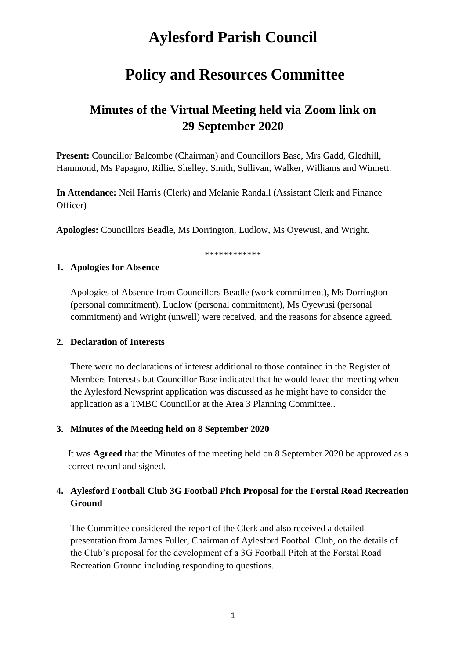# **Aylesford Parish Council**

# **Policy and Resources Committee**

# **Minutes of the Virtual Meeting held via Zoom link on 29 September 2020**

**Present:** Councillor Balcombe (Chairman) and Councillors Base, Mrs Gadd, Gledhill, Hammond, Ms Papagno, Rillie, Shelley, Smith, Sullivan, Walker, Williams and Winnett.

**In Attendance:** Neil Harris (Clerk) and Melanie Randall (Assistant Clerk and Finance Officer)

**Apologies:** Councillors Beadle, Ms Dorrington, Ludlow, Ms Oyewusi, and Wright.

\*\*\*\*\*\*\*\*\*\*\*\*

#### **1. Apologies for Absence**

Apologies of Absence from Councillors Beadle (work commitment), Ms Dorrington (personal commitment), Ludlow (personal commitment), Ms Oyewusi (personal commitment) and Wright (unwell) were received, and the reasons for absence agreed.

#### **2. Declaration of Interests**

There were no declarations of interest additional to those contained in the Register of Members Interests but Councillor Base indicated that he would leave the meeting when the Aylesford Newsprint application was discussed as he might have to consider the application as a TMBC Councillor at the Area 3 Planning Committee..

#### **3. Minutes of the Meeting held on 8 September 2020**

It was **Agreed** that the Minutes of the meeting held on 8 September 2020 be approved as a correct record and signed.

## **4. Aylesford Football Club 3G Football Pitch Proposal for the Forstal Road Recreation Ground**

The Committee considered the report of the Clerk and also received a detailed presentation from James Fuller, Chairman of Aylesford Football Club, on the details of the Club's proposal for the development of a 3G Football Pitch at the Forstal Road Recreation Ground including responding to questions.